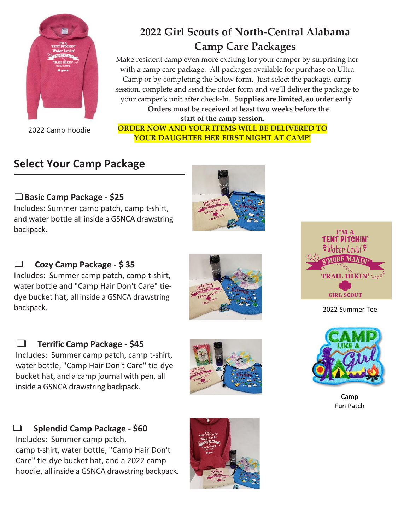

2022 Camp Hoodie

# **2022 Girl Scouts of North-Central Alabama Camp Care Packages**

Make resident camp even more exciting for your camper by surprising her with a camp care package. All packages available for purchase on Ultra Camp or by completing the below form. Just select the package, camp session, complete and send the order form and we'll deliver the package to your camper's unit after check-In. **Supplies are limited, so order early**. **Orders must be received at least two weeks before the** 

**start of the camp session.**

**ORDER NOW AND YOUR ITEMS WILL BE DELIVERED TO YOUR DAUGHTER HER FIRST NIGHT AT CAMP!**

### **Select Your Camp Package**

### ❑**Basic Camp Package - \$25**

Includes: Summer camp patch, camp t-shirt, and water bottle all inside a GSNCA drawstring backpack.



#### ❑ **Cozy Camp Package - \$ 35**

Includes: Summer camp patch, camp t-shirt, water bottle and "Camp Hair Don't Care" tiedye bucket hat, all inside a GSNCA drawstring backpack.







❑ **Splendid Camp Package - \$60** Includes: Summer camp patch, camp t-shirt, water bottle, "Camp Hair Don't Care" tie-dye bucket hat, and a 2022 camp hoodie, all inside a GSNCA drawstring backpack.





2022 Summer Tee



Camp Fun Patch